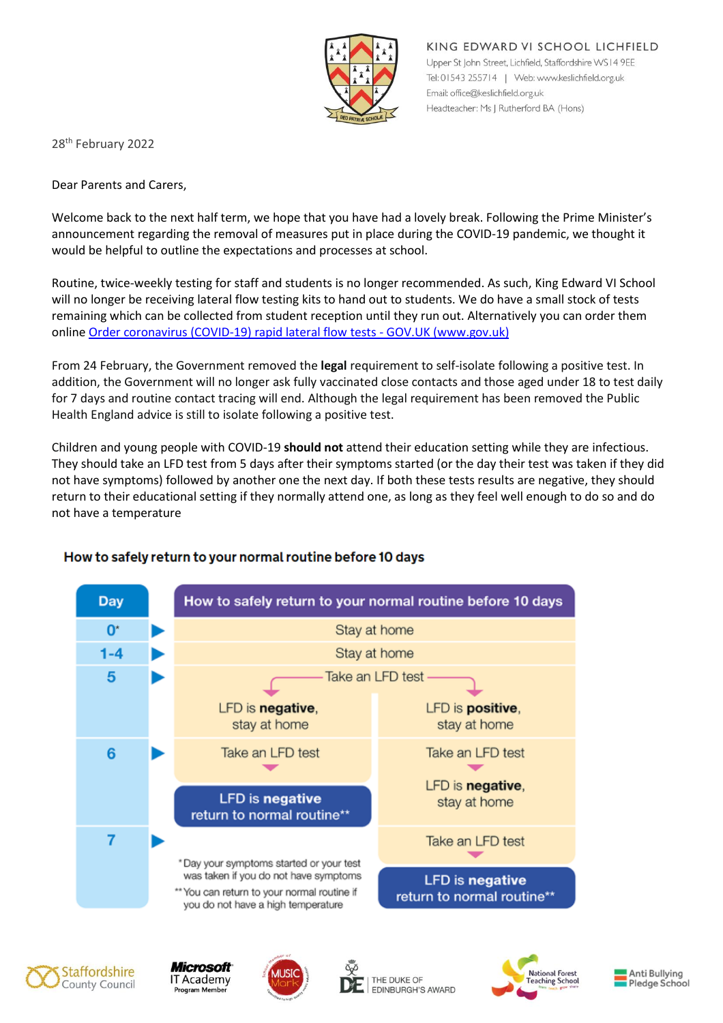

KING EDWARD VI SCHOOL LICHFIELD Upper St John Street, Lichfield, Staffordshire WS14 9EE Tel: 01543 255714 | Web: www.keslichfield.org.uk Email: office@keslichfield.org.uk Headteacher: Ms J Rutherford BA (Hons)

28th February 2022

Dear Parents and Carers,

Welcome back to the next half term, we hope that you have had a lovely break. Following the Prime Minister's announcement regarding the removal of measures put in place during the COVID-19 pandemic, we thought it would be helpful to outline the expectations and processes at school.

Routine, twice-weekly testing for staff and students is no longer recommended. As such, King Edward VI School will no longer be receiving lateral flow testing kits to hand out to students. We do have a small stock of tests remaining which can be collected from student reception until they run out. Alternatively you can order them online [Order coronavirus \(COVID-19\) rapid lateral](https://www.gov.uk/order-coronavirus-rapid-lateral-flow-tests) flow tests - GOV.UK (www.gov.uk)

From 24 February, the Government removed the **legal** requirement to self-isolate following a positive test. In addition, the Government will no longer ask fully vaccinated close contacts and those aged under 18 to test daily for 7 days and routine contact tracing will end. Although the legal requirement has been removed the Public Health England advice is still to isolate following a positive test.

Children and young people with COVID-19 **should not** attend their education setting while they are infectious. They should take an LFD test from 5 days after their symptoms started (or the day their test was taken if they did not have symptoms) followed by another one the next day. If both these tests results are negative, they should return to their educational setting if they normally attend one, as long as they feel well enough to do so and do not have a temperature



## How to safely return to your normal routine before 10 days